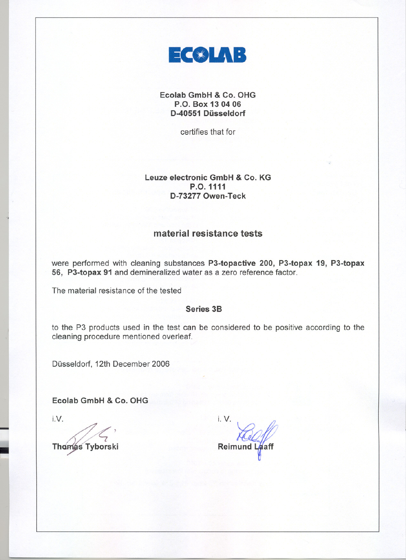

**Ecolab GmbH & Co. OHG P.O. Box 13 0406 D-40551 Düsseldorf**

certifies that for

## **Leuze electronic GmbH & Co. KG P.O.1111 D-732770wen-Teck**

# **material resistance tests**

were performed with cleaning substances **P3-topactive 200, P3-topax 19, P3-topax 56, P3-topax 91** and demineralized water as a zero reference factor.

The material resistance of the tested

### Series **3B**

to the P3 products used in the test can be considered to be positive according to the cleaning procedure mentioned overleaf.

Düsseldorf, 12th December 2006

I **Ecolab GmbH & Co. OHG**

J

**Thomas Tyborski** 

 $L$ V.  $L$ **Reimund**